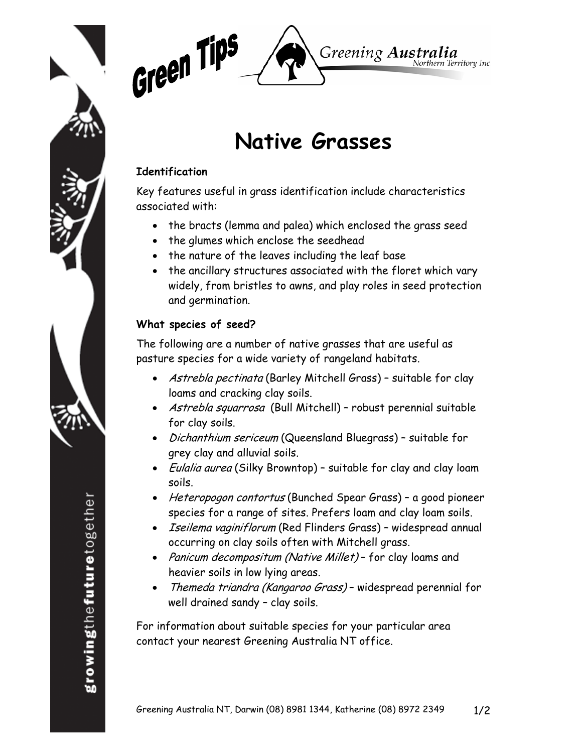



# **Native Grasses**

## **Identification**

Key features useful in grass identification include characteristics associated with:

- the bracts (lemma and palea) which enclosed the grass seed
- the glumes which enclose the seedhead
- the nature of the leaves including the leaf base
- the ancillary structures associated with the floret which vary widely, from bristles to awns, and play roles in seed protection and germination.

# **What species of seed?**

The following are a number of native grasses that are useful as pasture species for a wide variety of rangeland habitats.

- Astrebla pectinata (Barley Mitchell Grass) suitable for clay loams and cracking clay soils.
- Astrebla squarrosa (Bull Mitchell) robust perennial suitable for clay soils.
- Dichanthium sericeum (Queensland Bluegrass) suitable for grey clay and alluvial soils.
- *Eulalia aurea* (Silky Browntop) suitable for clay and clay loam soils.
- Heteropogon contortus (Bunched Spear Grass) a good pioneer species for a range of sites. Prefers loam and clay loam soils.
- Iseilema vaginiflorum (Red Flinders Grass) widespread annual occurring on clay soils often with Mitchell grass.
- Panicum decompositum (Native Millet) for clay loams and heavier soils in low lying areas.
- Themeda triandra (Kangaroo Grass) widespread perennial for well drained sandy – clay soils.

For information about suitable species for your particular area contact your nearest Greening Australia NT office.